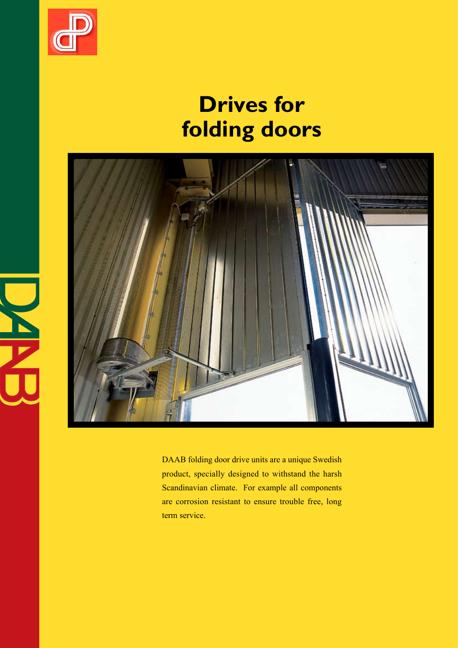

i<br>Linda

# **Drives for folding doors**



DAAB folding door drive units are a unique Swedish product, specially designed to withstand the harsh Scandinavian climate. For example all components are corrosion resistant to ensure trouble free, long term service.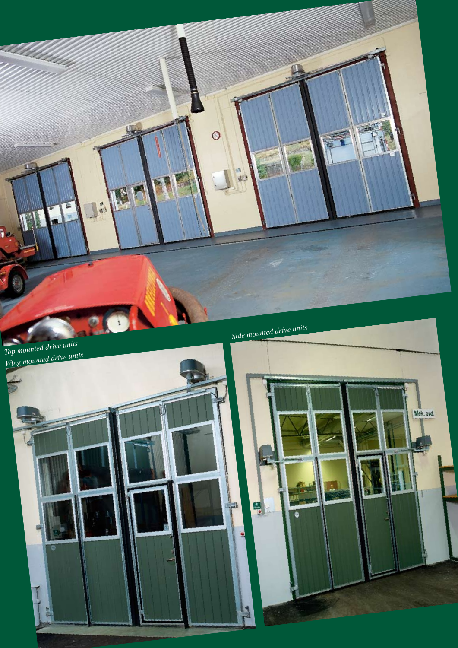

팀

S

빏

ال

Mek. avd.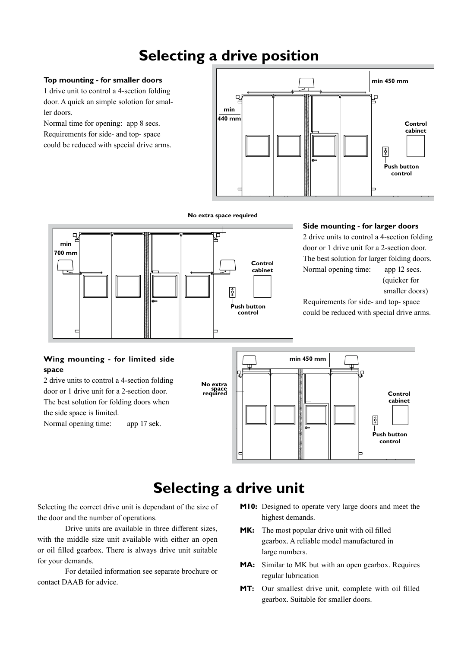# **Selecting a drive position**

#### **Top mounting - for smaller doors**

1 drive unit to control a 4-section folding door. A quick an simple solotion for smaller doors.

Normal time for opening: app 8 secs. Requirements for side- and top- space could be reduced with special drive arms.

**min 700 mm**



#### **No extra space required**

**Control cabinet**

**Push button control**

န္စြ

#### **Side mounting - for larger doors**

2 drive units to control a 4-section folding door or 1 drive unit for a 2-section door. The best solution for larger folding doors. Normal opening time: app 12 secs. (quicker for

```
 smaller doors)
```
Requirements for side- and top- space could be reduced with special drive arms.

#### **Wing mounting - for limited side space**

2 drive units to control a 4-section folding door or 1 drive unit for a 2-section door. The best solution for folding doors when the side space is limited. Normal opening time: app 17 sek.



## **Selecting a drive unit**

Selecting the correct drive unit is dependant of the size of the door and the number of operations.

Drive units are available in three different sizes, with the middle size unit available with either an open or oil filled gearbox. There is always drive unit suitable for your demands.

For detailed information see separate brochure or contact DAAB for advice.

- **M10:** Designed to operate very large doors and meet the highest demands.
- **MK:** The most popular drive unit with oil filled gearbox. A reliable model manufactured in large numbers.
- **MA:** Similar to MK but with an open gearbox. Requires regular lubrication
- **MT:** Our smallest drive unit, complete with oil filled gearbox. Suitable for smaller doors.